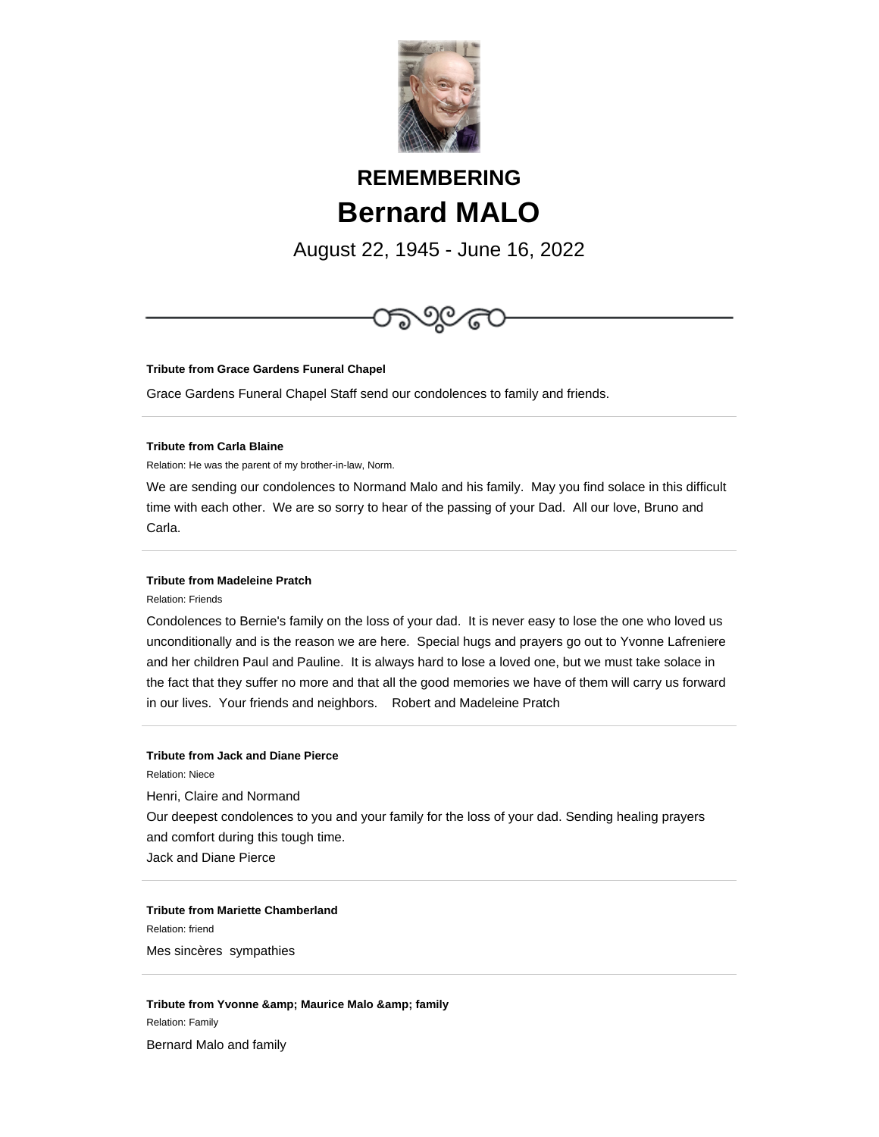

# **REMEMBERING Bernard MALO**

August 22, 1945 - June 16, 2022



**Tribute from Grace Gardens Funeral Chapel**

Grace Gardens Funeral Chapel Staff send our condolences to family and friends.

#### **Tribute from Carla Blaine**

Relation: He was the parent of my brother-in-law, Norm.

We are sending our condolences to Normand Malo and his family. May you find solace in this difficult time with each other. We are so sorry to hear of the passing of your Dad. All our love, Bruno and Carla.

# **Tribute from Madeleine Pratch**

Relation: Friends

Condolences to Bernie's family on the loss of your dad. It is never easy to lose the one who loved us unconditionally and is the reason we are here. Special hugs and prayers go out to Yvonne Lafreniere and her children Paul and Pauline. It is always hard to lose a loved one, but we must take solace in the fact that they suffer no more and that all the good memories we have of them will carry us forward in our lives. Your friends and neighbors. Robert and Madeleine Pratch

# **Tribute from Jack and Diane Pierce**

Relation: Niece

Henri, Claire and Normand

Our deepest condolences to you and your family for the loss of your dad. Sending healing prayers and comfort during this tough time.

Jack and Diane Pierce

# **Tribute from Mariette Chamberland**

Relation: friend

Mes sincères sympathies

**Tribute from Yvonne & amp; Maurice Malo & amp; family** Relation: Family

Bernard Malo and family